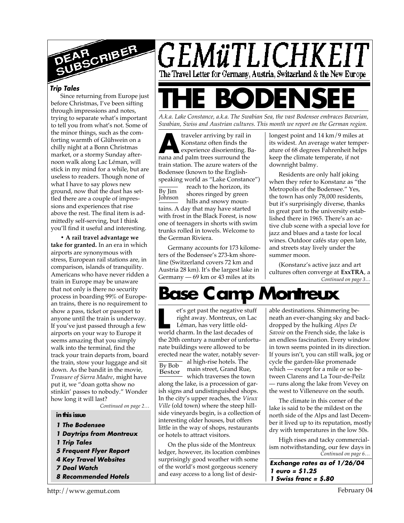

#### *Trip Tales*

Since returning from Europe just before Christmas, I've been sifting through impressions and notes, trying to separate what's important to tell you from what's not. Some of the minor things, such as the comforting warmth of Glühwein on a chilly night at a Bonn Christmas market, or a stormy Sunday afternoon walk along Lac Léman, will stick in my mind for a while, but are useless to readers. Though none of what I have to say plows new ground, now that the dust has settled there are a couple of impressions and experiences that rise above the rest. The final item is admittedly self-serving, but I think you'll find it useful and interesting.

**• A rail travel advantage we take for granted.** In an era in which airports are synonymous with stress, European rail stations are, in comparison, islands of tranquility. Americans who have never ridden a train in Europe may be unaware that not only is there no security process in boarding 99% of European trains, there is no requirement to show a pass, ticket or passport to anyone until the train is underway. If you've just passed through a few airports on your way to Europe it seems amazing that you simply walk into the terminal, find the track your train departs from, board the train, stow your luggage and sit down. As the bandit in the movie, *Treasure of Sierra Madre*, might have put it, we "doan gotta show no stinkin' passes to nobody." Wonder how long it will last?

*Continued on page 2…*

#### **in this issue**

- *1 The Bodensee*
- *1 Daytrips from Montreux*
- *1 Trip Tales*
- *5 Frequent Flyer Report*
- *4 Key Travel Websites*
- *7 Deal Watch*
- *8 Recommended Hotels*



*A.k.a. Lake Constance, a.k.a. The Swabian Sea, the vast Bodensee embraces Bavarian, Swabian, Swiss and Austrian cultures. This month we report on the German region.*

**A** nana and palm trees surround the traveler arriving by rail in Konstanz often finds the experience disorienting. Batrain station. The azure waters of the Bodensee (known to the Englishspeaking world as "Lake Constance")

By Jim Johnson reach to the horizon, its shores ringed by green hills and snowy mountains. A day that may have started with frost in the Black Forest, is now one of teenagers in shorts with swim trunks rolled in towels. Welcome to the German Riviera.

Germany accounts for 173 kilometers of the Bodensee's 273-km shoreline (Switzerland covers 72 km and Austria 28 km). It's the largest lake in Germany — 69 km or 43 miles at its

longest point and 14 km/9 miles at its widest. An average water temperature of 68 degrees Fahrenheit helps keep the climate temperate, if not downright balmy.

Residents are only half joking when they refer to Konstanz as "the Metropolis of the Bodensee." Yes, the town has only 78,000 residents, but it's surprisingly diverse, thanks in great part to the university established there in 1965. There's an active club scene with a special love for jazz and blues and a taste for local wines. Outdoor cafés stay open late, and streets stay lively under the summer moon.

*Continued on page 3…* (Konstanz's active jazz and art cultures often converge at **ExxTRA**, a

# **Base Camp Montreux**

et's get past the negative stu<br>
right away. Montreux, on La<br>
Léman, has very little old-<br>
world charm. In the last decades of et's get past the negative stuff right away. Montreux, on Lac Léman, has very little oldthe 20th century a number of unfortunate buildings were allowed to be erected near the water, notably several high-rise hotels. The

By Bob Bestor main street, Grand Rue, which traverses the town along the lake, is a procession of garish signs and undistinguished shops. In the city's upper reaches, the *Vieux Ville* (old town) where the steep hillside vineyards begin, is a collection of interesting older houses, but offers little in the way of shops, restaurants

On the plus side of the Montreux ledger, however, its location combines surprisingly good weather with some of the world's most gorgeous scenery and easy access to a long list of desir-

or hotels to attract visitors.

able destinations. Shimmering beneath an ever-changing sky and backdropped by the hulking *Alpes De Savoie* on the French side, the lake is an endless fascination. Every window in town seems pointed in its direction. If yours isn't, you can still walk, jog or cycle the garden-like promenade which — except for a mile or so between Clarens and La Tour-de-Peilz — runs along the lake from Vevey on the west to Villeneuve on the south.

The climate in this corner of the lake is said to be the mildest on the north side of the Alps and last December it lived up to its reputation, mostly dry with temperatures in the low 50s.

*Continued on page 6…* High rises and tacky commercialism notwithstanding, our few days in

*Exchange rates as of 1/26/04 1 euro = \$1.25 1 Swiss franc = \$.80*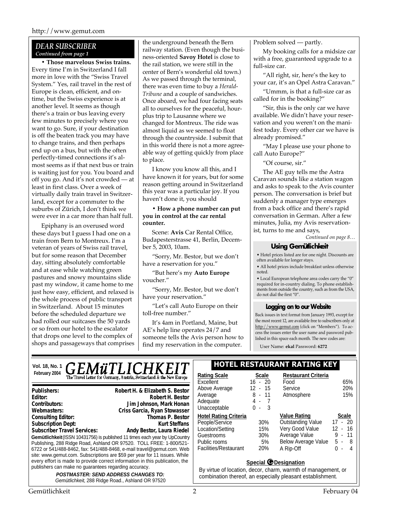#### *DEAR SUBSCRIBER Continued from page 1*

**• Those marvelous Swiss trains.** Every time I'm in Switzerland I fall more in love with the "Swiss Travel System." Yes, rail travel in the rest of Europe is clean, efficient, and ontime, but the Swiss experience is at another level. It seems as though there's a train or bus leaving every few minutes to precisely where you want to go. Sure, if your destination is off the beaten track you may have to change trains, and then perhaps end up on a bus, but with the often perfectly-timed connections it's almost seems as if that next bus or train is waiting just for you. You board and off you go. And it's not crowded — at least in first class. Over a week of virtually daily train travel in Switzerland, except for a commuter to the suburbs of Zürich, I don't think we were ever in a car more than half full.

Epiphany is an overused word these days but I guess I had one on a train from Bern to Montreux. I'm a veteran of years of Swiss rail travel, but for some reason that December day, sitting absolutely comfortable and at ease while watching green pastures and snowy mountains slide past my window, it came home to me just how easy, efficient, and relaxed is the whole process of public transport in Switzerland. About 15 minutes before the scheduled departure we had rolled our suitcases the 50 yards or so from our hotel to the escalator that drops one level to the complex of shops and passageways that comprises the underground beneath the Bern railway station. (Even though the business-oriented **Savoy Hotel** is close to the rail station, we were still in the center of Bern's wonderful old town.) As we passed through the terminal, there was even time to buy a *Herald-Tribune* and a couple of sandwiches. Once aboard, we had four facing seats all to ourselves for the peaceful, hourplus trip to Lausanne where we changed for Montreux. The ride was almost liquid as we seemed to float through the countryside. I submit that in this world there is not a more agreeable way of getting quickly from place to place.

I know you know all this, and I have known it for years, but for some reason getting around in Switzerland this year was a particular joy. If you haven't done it, you should

**• How a phone number can put you in control at the car rental counter.**

Scene: **Avis** Car Rental Office, Budapesterstrasse 41, Berlin, December 5, 2003, 10am.

"Sorry, Mr. Bestor, but we don't have a reservation for you."

"But here's my **Auto Europe** voucher."

"Sorry, Mr. Bestor, but we don't have your reservation."

"Let's call Auto Europe on their toll-free number."

It's 4am in Portland, Maine, but AE's help line operates 24/7 and someone tells the Avis person how to find my reservation in the computer.

Problem solved — partly.

My booking calls for a midsize car with a free, guaranteed upgrade to a full-size car.

"All right, sir, here's the key to your car, it's an Opel Astra Caravan."

"Ummm, is that a full-size car as called for in the booking?"

"Sir, this is the only car we have available. We didn't have your reservation and you weren't on the manifest today. Every other car we have is already promised."

"May I please use your phone to call Auto Europe?"

"Of course, sir."

The AE guy tells me the Astra Caravan sounds like a station wagon and asks to speak to the Avis counter person. The conversation is brief but suddenly a manager type emerges from a back office and there's rapid conversation in German. After a few minutes, Julia, my Avis reservationist, turns to me and says,

*Continued on page 8…*

#### **Using Gemütlichkeit**

• Hotel prices listed are for one night. Discounts are often available for longer stays.

• All hotel prices include breakfast unless otherwise noted.

• Local European telephone area codes carry the "0" required for in-country dialing. To phone establishments from outside the country, such as from the USA, do not dial the first "0".

#### **Logging on to our Website**

Back issues in text format from January 1993, except for the most recent 12, are available free to subscribers only at http://www.gemut.com (click on "Members"). To access the issues enter the user name and password published in this space each month. The new codes are:

User Name: **ekal** Password: **6272**

# Vol. 18, No. 1**1 GEMÜTLICHKEIT EIN BESTAURANT RATING KEY February 2004 Rationary 2004 Ratify Scale 2004 Ratify Switzerland & the New Europe**  $\begin{bmatrix} R_i \\ R_j \end{bmatrix}$

**Gemütlichkeit** (ISSN 10431756) is published 11 times each year by UpCountry Publishing, 288 Ridge Road, Ashland OR 97520. TOLL FREE: 1-800/521- 6722 or 541/488-8462, fax: 541/488-8468, e-mail travel@gemut.com. Web site: www.gemut.com. Subscriptions are \$59 per year for 11 issues. While every effort is made to provide correct information in this publication, the publishers can make no guarantees regarding accuracy. *POSTMASTER: SEND ADDRESS CHANGES TO:* **Publishers:** Robert H. & Elizabeth S. Bestor **Publishers: Robert H. & Elizabeth S. Bestor** Editor: **Robert H. Bestor**<br>Contributors: **New State Contributors:** Jim Johnson, Mark Honan **Contributors:** Doug Linton, C. Fischer, R. Holliday, Jim Johnson **Editor: Robert H. BestorContributors: Jim Johnson, Mark Honan** Webmasters: Criss Garcia, Ryan Stowasser<br>Consulting Editor: **Paul Trimes Consulting Editor:** Thomas P. Bestor **Consulting Editor:** Thomas P. Bestor **Subscription Dept:** Subscriber Travel Services: Andy Bestor, Laura Riedel **Webmasters: Criss Garcia, Ryan StowasserConsulting Editor: Thomas P. BestorSubscription Dept: Kurt SteffansSubscriber Travel Services: Andy Bestor, Laura Riedel**

*Gemütlichkeit*, 288 Ridge Road., Ashland OR 97520

| Rating Scale                 | Scale     | <b>Restaurant Criteria</b> |              |
|------------------------------|-----------|----------------------------|--------------|
| Excellent                    | $16 - 20$ | Food                       | 65%          |
| Above Average                | 12 - 15   | Service                    | 20%          |
| Average                      | 8 - 11    | Atmosphere                 | 15%          |
| Adequate                     | 4 -       |                            |              |
| Unacceptable                 | 3<br>ი -  |                            |              |
| <b>Hotel Rating Criteria</b> |           | <b>Value Rating</b>        | <b>Scale</b> |
|                              |           |                            |              |
| People/Service               | 30%       | <b>Outstanding Value</b>   | $17 - 20$    |
| Location/Setting             | 15%       | Very Good Value            | $12 - 16$    |
| Guestrooms                   | 30%       | Average Value              | 9 - 11       |
| Public rooms                 | 5%        | <b>Below Average Value</b> | 5 -<br>- 8   |
| Facilities/Restaurant        | 20%       | A Rip-Off                  | 4            |

#### **Special G Designation**

By virtue of location, decor, charm, warmth of management, or combination thereof, an especially pleasant establishment.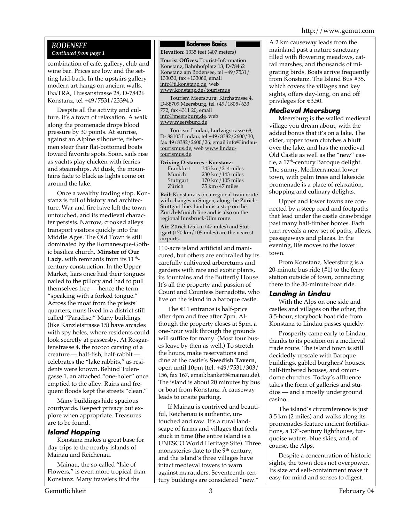### *BODENSEE Continued from page 1*

combination of café, gallery, club and wine bar. Prices are low and the setting laid-back. In the upstairs gallery modern art hangs on ancient walls. ExxTRA, Hussanstrasse 28, D-78426 Konstanz, tel +49/7531/23394**.)**

Despite all the activity and culture, it's a town of relaxation. A walk along the promenade drops blood pressure by 30 points. At sunrise, against an Alpine silhouette, fishermen steer their flat-bottomed boats toward favorite spots. Soon, sails rise as yachts play chicken with ferries and steamships. At dusk, the mountains fade to black as lights come on around the lake.

Once a wealthy trading stop, Konstanz is full of history and architecture. War and fire have left the town untouched, and its medieval character persists. Narrow, crooked alleys transport visitors quickly into the Middle Ages. The Old Town is still dominated by the Romanesque-Gothic basilica church, **Minster of Our Lady**, with remnants from its  $11<sup>th</sup>$ century construction. In the Upper Market, liars once had their tongues nailed to the pillory and had to pull themselves free — hence the term "speaking with a forked tongue." Across the moat from the priests' quarters, nuns lived in a district still called "Paradise." Many buildings (like Kanzleistrasse 15) have arcades with spy holes, where residents could look secretly at passersby. At Rosgartenstrasse 4, the rococo carving of a creature — half-fish, half-rabbit celebrates the "lake rabbits," as residents were known. Behind Tulengasse 1, an attached "one-holer" once emptied to the alley. Rains and frequent floods kept the streets "clean."

Many buildings hide spacious courtyards. Respect privacy but explore when appropriate. Treasures are to be found.

### *Island Hopping*

Konstanz makes a great base for day trips to the nearby islands of Mainau and Reichenau.

Mainau, the so-called "Isle of Flowers," is even more tropical than Konstanz. Many travelers find the

#### **Bodensee Basics**

**Elevation:** 1335 feet (407 meters)

**Tourist Offices:** Tourist-Information Konstanz, Bahnhofplatz 13, D-78462 Konstanz am Bodensee, tel +49/7531/ 133030, fax +133060, email info@ti.konstanz.de, web www.konstanz.de/tourismus

Tourism Meersburg, Kirchstrasse 4, D-88709 Meersburg, tel +49/1805/633 772, fax 4311 20, email info@meersburg.de, web www.meersburg.de

Tourism Lindau, Ludwigstrasse 68, D- 88103 Lindau, tel +49/8382/2600/30, fax 49/8382/2600/26, email info@lindautourismus.de, web www.lindautourismus.de.

| Driving Distances - Konstanz: |                                      |  |  |
|-------------------------------|--------------------------------------|--|--|
| Frankfurt                     | 345 km/214 miles                     |  |  |
| Munich                        | 230 km / 143 miles                   |  |  |
| Stuttgart                     | $170 \text{ km} / 105 \text{ miles}$ |  |  |
| Zürich                        | $75 \text{ km}/47 \text{ miles}$     |  |  |

**Rail:** Konstanz is on a regional train route with changes in Singen, along the Zürich-Stuttgart line. Lindau is a stop on the Zürich-Munich line and is also on the regional Innsbruck-Ulm route.

**Air:** Zürich (75 km/47 miles) and Stuttgart (170 km/105 miles) are the nearest airports.

110-acre island artificial and manicured, but others are enthralled by its carefully cultivated arboretums and gardens with rare and exotic plants, its fountains and the Butterfly House. It's all the property and passion of Count and Countess Bernadotte, who live on the island in a baroque castle.

The  $€11$  entrance is half-price after 4pm and free after 7pm. Although the property closes at 8pm, a one-hour walk through the grounds will suffice for many. (Most tour buses leave by then as well.) To stretch the hours, make reservations and dine at the castle's **Swedish Tavern**, open until 10pm (tel. +49/7531/303/ 156, fax 167, email: bankett@mainau.de). The island is about 20 minutes by bus or boat from Konstanz. A causeway leads to onsite parking.

If Mainau is contrived and beautiful, Reichenau is authentic, untouched and raw. It's a rural landscape of farms and villages that feels stuck in time (the entire island is a UNESCO World Heritage Site). Three monasteries date to the  $9<sup>th</sup>$  century, and the island's three villages have intact medieval towers to warn against marauders. Seventeenth-century buildings are considered "new."

A 2 km causeway leads from the mainland past a nature sanctuary filled with flowering meadows, cattail marshes, and thousands of migrating birds. Boats arrive frequently from Konstanz. The Island Bus #35, which covers the villages and key sights, offers day-long, on and off privileges for €3.50.

#### *Medieval Meersburg*

Meersburg is the walled medieval village you dream about, with the added bonus that it's on a lake. The older, upper town clutches a bluff over the lake, and has the medieval Old Castle as well as the "new" castle, a 17<sup>th</sup>-century Baroque delight. The sunny, Mediterranean lower town, with palm trees and lakeside promenade is a place of relaxation, shopping and culinary delights.

Upper and lower towns are connected by a steep road and footpaths that lead under the castle drawbridge past many half-timber homes. Each turn reveals a new set of paths, alleys, passageways and plazas. In the evening, life moves to the lower town.

From Konstanz, Meersburg is a 20-minute bus ride (#1) to the ferry station outside of town, connecting there to the 30-minute boat ride.

#### *Landing in Lindau*

With the Alps on one side and castles and villages on the other, the 3.5-hour, storybook boat ride from Konstanz to Lindau passes quickly.

Prosperity came early to Lindau, thanks to its position on a medieval trade route. The island town is still decidedly upscale with Baroque buildings, gabled burghers' houses, half-timbered houses, and oniondome churches. Today's affluence takes the form of galleries and studios — and a mostly underground casino.

The island's circumference is just 3.5 km (2 miles) and walks along its promenades feature ancient fortifications, a 13<sup>th</sup>-century lighthouse, turquoise waters, blue skies, and, of course, the Alps.

Despite a concentration of historic sights, the town does not overpower. Its size and self-containment make it easy for mind and senses to digest.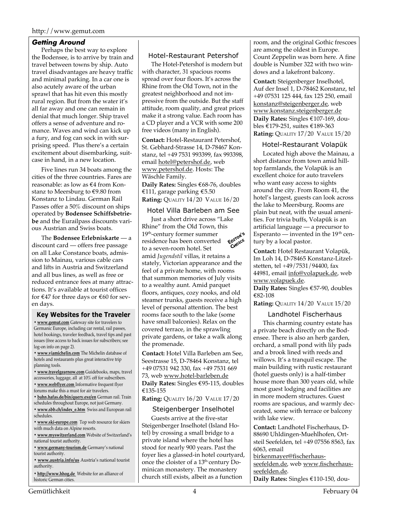#### *Getting Around*

Perhaps the best way to explore the Bodensee, is to arrive by train and travel between towns by ship. Auto travel disadvantages are heavy traffic and minimal parking. In a car one is also acutely aware of the urban sprawl that has hit even this mostly rural region. But from the water it's all far away and one can remain in denial that much longer. Ship travel offers a sense of adventure and romance. Waves and wind can kick up a fury, and fog can sock in with surprising speed. Plus there's a certain excitement about disembarking, suitcase in hand, in a new location.

Five lines run 34 boats among the cities of the three countries. Fares are reasonable: as low as €4 from Konstanz to Meersburg to €9.80 from Konstanz to Lindau. German Rail Passes offer a 50% discount on ships operated by **Bodensee Schiffsbetriebe** and the Eurailpass discounts various Austrian and Swiss boats.

The **Bodensee Erlebniskarte** — a discount card — offers free passage on all Lake Constance boats, admission to Mainau, various cable cars and lifts in Austria and Switzerland and all bus lines, as well as free or reduced entrance fees at many attractions. It's available at tourist offices for €47 for three days or €60 for seven days.

#### **Key Websites for the Traveler**

**• www.gemut.com** Gateway site for travelers to Germanic Europe, including car rental, rail passes, hotel bookings, traveler feedback, travel tips and past issues (free access to back issues for subscribers; see log-on info on page 2).

**• www.viamichelin.com** The Michelin database of hotels and restaurants plus great interactive trip planning tools.

**• www.travelgearnow.com** Guidebooks, maps, travel accessories, luggage, all at 10% off for subscribers.

**• www.webflyer.com** Informative frequent flyer forums make this a must for air travelers.

- 
- **bahn.hafas.de/bin/query.exe/en** German rail. Train schedules throughout Europe, not just Germany.
- **www.sbb.ch/index\_e.htm** Swiss and European rail schedules.
- **www.ski-europe.com** Top web resource for skiers with much data on Alpine resorts.

**• www.myswitzerland.com** Website of Switzerland's national tourist authority.

**• www.germany-tourism.de** Germany's national tourist authority.

**• www.austria.info/us** Austria's national tourist authority.

**• http://www.hhog.de** Website for an alliance of historic German cities.

#### Hotel-Restaurant Petershof

The Hotel-Petershof is modern but with character, 31 spacious rooms spread over four floors. It's across the Rhine from the Old Town, not in the greatest neighborhood and not impressive from the outside. But the staff attitude, room quality, and great prices make it a strong value. Each room has a CD player and a VCR with some 200 free videos (many in English).

**Contact:** Hotel-Restaurant Petershof, St. Gebhard-Strasse 14, D-78467 Konstanz, tel +49 7531 993399, fax 993398, email hotel@petershof.de, web www.petershof.de. Hosts: The Wäschle Family.

**Daily Rates:** Singles €68-76, doubles €111, garage parking €5.50 **Rating:** QUALITY 14/20 VALUE 16/20

#### Hotel Villa Barleben am See

Just a short drive across "Lake Rhine" from the Old Town, this<br>19<sup>th</sup>-century former summer<br>residence has been 19th-century former summer CHOICE residence has been converted to a seven-room hotel. Set amid *Jugendstil* villas, it retains a stately, Victorian appearance and the feel of a private home, with rooms that summon memories of July visits to a wealthy aunt. Amid parquet floors, antiques, cozy nooks, and old steamer trunks, guests receive a high level of personal attention. The best rooms face south to the lake (some have small balconies). Relax on the covered terrace, in the sprawling private gardens, or take a walk along the promenade.

**Contact:** Hotel Villa Barleben am See, Seestrasse 15, D-78464 Konstanz, tel +49 07531 942 330, fax +49 7531 669 73, web www.hotel-barleben.de **Daily Rates:** Singles €95-115, doubles €135-155

**Rating:** QUALITY 16/20 VALUE 17/20

#### Steigenberger Inselhotel

Guests arrive at the five-star Steigenberger Inselhotel (Island Hotel) by crossing a small bridge to a private island where the hotel has stood for nearly 900 years. Past the foyer lies a glassed-in hotel courtyard, once the cloister of a 13<sup>th-</sup>century Dominican monastery. The monastery church still exists, albeit as a function

room, and the original Gothic frescoes are among the oldest in Europe. Count Zeppelin was born here. A fine double is Number 322 with two windows and a lakefront balcony.

**Contact:** Steigenberger Inselhotel, Auf der Insel 1, D-78462 Konstanz, tel +49 07531 125 444, fax 125 250, email konstanz@steigenberger.de, web www.konstanz.steigenberger.de **Daily Rates:** Singles €107-169, doubles €179-251, suites €189-363 **Rating:** QUALITY 17/20 VALUE 15/20

#### Hotel-Restaurant Volapük

Located high above the Mainau, a short distance from town amid hilltop farmlands, the Volapük is an excellent choice for auto travelers who want easy access to sights around the city. From Room 41, the hotel's largest, guests can look across the lake to Meersburg. Rooms are plain but neat, with the usual amenities. For trivia buffs, Volapük is an artificial language — a precursor to Esperanto — invented in the  $19<sup>th</sup>$  century by a local pastor.

**Contact:** Hotel Restaurant Volapük, Im Loh 14, D-78465 Konstanz-Litzelstetten, tel +49/7531/94400, fax 44981, email info@volapuek.de, web www.volapuek.de.

**Daily Rates:** Singles €57-90, doubles €82-108

**Rating:** QUALITY 14/20 VALUE 15/20

#### Landhotel Fischerhaus

This charming country estate has a private beach directly on the Bodensee. There is also an herb garden, orchard, a small pond with lily pads and a brook lined with reeds and willows. It's a tranquil escape. The main building with rustic restaurant (hotel guests only) is a half-timber house more than 300 years old, while most guest lodging and facilities are in more modern structures. Guest rooms are spacious, and warmly decorated, some with terrace or balcony with lake view.

**Contact:** Landhotel Fischerhaus, D-88690 Uhldingen-Muehlhofen, Ortsteil Seefelden, tel +49 07556 8563, fax 6063, email

birkenmayer@fischerhausseefelden.de, web www.fischerhausseefelden.de.

**Daily Rates:** Singles €110-150, dou-

Gemütlichkeit 4 February 04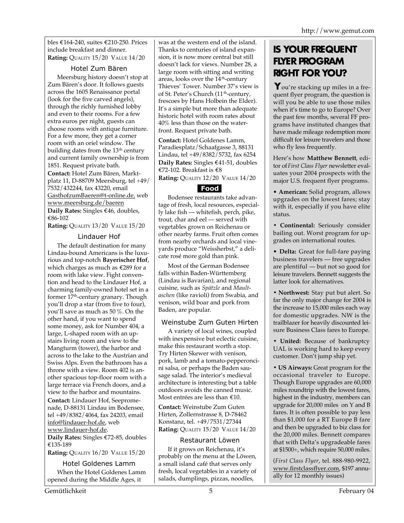bles €164-240, suites €210-250. Prices include breakfast and dinner. **Rating:** QUALITY 15/20 VALUE 14/20

### Hotel Zum Bären

Meersburg history doesn't stop at Zum Bären's door. It follows guests across the 1605 Renaissance portal (look for the five carved angels), through the richly furnished lobby and even to their rooms. For a few extra euros per night, guests can choose rooms with antique furniture. For a few more, they get a corner room with an oriel window. The building dates from the  $13<sup>th</sup>$  century and current family ownership is from 1851. Request private bath. **Contact:** Hotel Zum Bären, Marktplatz 11, D-88709 Meersburg, tel +49/ 7532/432244, fax 43220, email GasthofzumBaeren@t-online.de, web www.meersburg.de/baeren **Daily Rates:** Singles €46, doubles, €86-102

**Rating:** QUALITY 13/20 VALUE 15/20

#### Lindauer Hof

The default destination for many Lindau-bound Americans is the luxurious and top-notch **Bayerischer Hof**, which charges as much as €289 for a room with lake view. Fight convention and head to the Lindauer Hof, a charming family-owned hotel set in a former 17th-century granary. Though you'll drop a star (from five to four), you'll save as much as 50 %. On the other hand, if you want to spend some money, ask for Number 404, a large, L-shaped room with an upstairs living room and view to the Mangturm (tower), the harbor and across to the lake to the Austrian and Swiss Alps. Even the bathroom has a throne with a view. Room 402 is another spacious top-floor room with a large terrace via French doors, and a view to the harbor and mountains. **Contact:** Lindauer Hof, Seepromenade, D-88131 Lindau im Bodensee, tel +49/8382/4064, fax 24203, email info@lindauer-hof.de, web

www.lindauer-hof.de.

**Daily Rates:** Singles €72-85, doubles €135-189

**Rating:** QUALITY 16/20 VALUE 15/20

Hotel Goldenes Lamm When the Hotel Goldenes Lamm opened during the Middle Ages, it

was at the western end of the island. Thanks to centuries of island expansion, it is now more central but still doesn't lack for views. Number 28, a large room with sitting and writing areas, looks over the  $14^{\text{th}}$ -century Thieves' Tower. Number 37's view is of St. Peter's Church (11<sup>th</sup>-century, frescoes by Hans Holbein the Elder). It's a simple but more than adequate historic hotel with room rates about 40% less than those on the waterfront. Request private bath.

**Contact:** Hotel Goldenes Lamm, Paradiesplatz/Schaafgasse 3, 88131 Lindau, tel +49/8382/5732, fax 6254 **Daily Rates:** Singles €41-51, doubles €72-102. Breakfast is €8 **Rating:** QUALITY 12/20 VALUE 14/20

## **Food**

Bodensee restaurants take advantage of fresh, local resources, especially lake fish — whitefish, perch, pike, trout, char and eel — served with vegetables grown on Reichenau or other nearby farms. Fruit often comes from nearby orchards and local vineyards produce "Weissherbst," a delicate rosé more gold than pink.

Most of the German Bodensee falls within Baden-Württemberg (Lindau is Bavarian), and regional cuisine, such as *Spätzle* and *Maultaschen* (like ravioli) from Swabia, and venison, wild boar and pork from Baden, are popular.

### Weinstube Zum Guten Hirten

A variety of local wines, coupled with inexpensive but eclectic cuisine, make this restaurant worth a stop. Try Hirten Skewer with venison, pork, lamb and a tomato-pepperoncini salsa, or perhaps the Baden sausage salad. The interior's medieval architecture is interesting but a table outdoors avoids the canned music. Most entrées are less than €10.

**Contact:** Weinstube Zum Guten Hirten, Zollernstrasse 8, D-78462 Konstanz, tel. +49/7531/27344 **Rating:** QUALITY 15/20 VALUE 14/20

### Restaurant Löwen

If it grows on Reichenau, it's probably on the menu at the Löwen, a small island café that serves only fresh, local vegetables in a variety of salads, dumplings, pizzas, noodles,

# **IS YOUR FREQUENT FLYER PROGRAM RIGHT FOR YOU?**

ou're stacking up miles in a fre-**Y** quent flyer program, the question is will you be able to use those miles when it's time to go to Europe? Over the past few months, several FF programs have instituted changes that have made mileage redemption more difficult for leisure travelers and those who fly less frequently.

Here's how **Matthew Bennett**, editor of *First Class Flyer* newsletter evaluates your 2004 prospects with the major U.S. frequent flyer programs.

• **American:** Solid program, allows upgrades on the lowest fares; stay with it, especially if you have elite status.

**• Continental:** Seriously consider bailing out. Worst program for upgrades on international routes.

• **Delta:** Great for full-fare paying business travelers — free upgrades are plentiful — but not so good for leisure travelers. Bennett suggests the latter look for alternatives.

**• Northwest:** Stay put but alert. So far the only major change for 2004 is the increase to 15,000 miles each way for domestic upgrades. NW is the trailblazer for heavily discounted leisure Business Class fares to Europe.

**• United:** Because of bankruptcy UAL is working hard to keep every customer. Don't jump ship yet.

**• US Airways:** Great program for the occasional traveler to Europe. Though Europe upgrades are 60,000 miles roundtrip with the lowest fares, highest in the industry, members can upgrade for 20,000 miles on Y and B fares. It is often possible to pay less than \$1,000 for a RT Europe B fare and then be upgraded to biz class for the 20,000 miles. Bennett compares that with Delta's upgradeable fares at \$1500+, which require 50,000 miles.

(*First Class Flyer*, tel. 888-980-9922, www.firstclassflyer.com, \$197 annually for 12 monthly issues)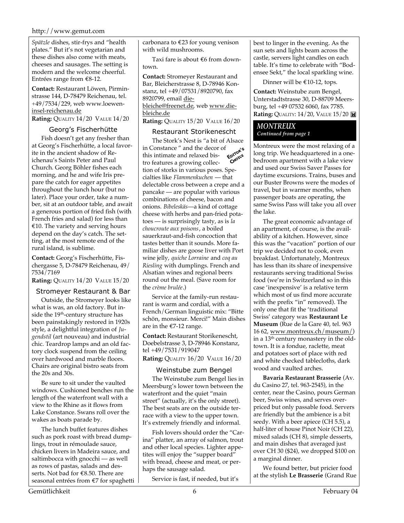#### http://www.gemut.com

*Spätzle* dishes, stir-frys and "health plates." But it's not vegetarian and these dishes also come with meats, cheeses and sausages. The setting is modern and the welcome cheerful. Entrées range from €8-12.

**Contact:** Restaurant Löwen, Pirminstrasse 144, D-78479 Reichenau, tel. +49/7534/229, web www.loeweninsel-reichenau.de

**Rating:** QUALITY 14/20 VALUE 14/20

#### Georg's Fischerhütte

Fish doesn't get any fresher than at Georg's Fischerhütte, a local favorite in the ancient shadow of Reichenau's Saints Peter and Paul Church. Georg Böhler fishes each morning, and he and wife Iris prepare the catch for eager appetites throughout the lunch hour (but no later). Place your order, take a number, sit at an outdoor table, and await a generous portion of fried fish (with French fries and salad) for less than €10. The variety and serving hours depend on the day's catch. The setting, at the most remote end of the rural island, is sublime.

**Contact:** Georg's Fischerhütte, Fischergasse 5, D-78479 Reichenau, 49/ 7534/7169

**Rating:** QUALITY 14/20 VALUE 15/20

#### Stromeyer Restaurant & Bar

Outside, the Stromeyer looks like what is was, an old factory. But inside the 19<sup>th</sup>-century structure has been painstakingly restored in 1920s style, a delightful integration of *Jugendstil* (art nouveau) and industrial chic. Teardrop lamps and an old factory clock suspend from the ceiling over hardwood and marble floors. Chairs are original bistro seats from the 20s and 30s.

Be sure to sit under the vaulted windows. Cushioned benches run the length of the waterfront wall with a view to the Rhine as it flows from Lake Constance. Swans roll over the wakes as boats parade by.

The lunch buffet features dishes such as pork roast with bread dumplings, trout in rémoulade sauce, chicken livers in Madeira sauce, and saltimbocca with gnocchi — as well as rows of pastas, salads and desserts. Not bad for €8.50. There are seasonal entrées from €7 for spaghetti carbonara to €23 for young venison with wild mushrooms.

Taxi fare is about €6 from downtown.

**Contact:** Stromeyer Restaurant and Bar, Bleicherstrasse 8, D-78946 Konstanz, tel +49/07531/8920790, fax 8920799, email diebleiche@freenet.de, web www.diebleiche.de

**Rating:** QUALITY 15/20 VALUE 16/20

#### Restaurant Storikenescht

The Stork's Nest is "a bit of Alsace<br>Constance " and the decor of state intimate and relaxed " in Constance " and the decor of CHOICE this intimate and relaxed bistro features a growing collection of storks in various poses. Specialties like *Flammenkuchen* — that delectable cross between a crepe and a pancake — are popular with various combinations of cheese, bacon and onions. *Bibeleskäs*—a kind of cottage cheese with herbs and pan-fried potatoes — is surprisingly tasty, as is *la choucroute aux poisons*, a boiled sauerkraut-and-fish concoction that tastes better than it sounds. More familiar dishes are goose liver with Port wine jelly, *quiche Lorraine* and *coq au Riesling* with dumplings. French and Alsatian wines and regional beers round out the meal. (Save room for the *crème brulée*.)

Service at the family-run restaurant is warm and cordial, with a French/German linguistic mix: "Bitte schön, monsieur. Merci!" Main dishes are in the €7-12 range.

**Contact:** Restaurant Storikenescht, Doebelstrasse 3, D-78946 Konstanz, tel +49/7531/919047 **Rating:** QUALITY 16/20 VALUE 16/20

#### Weinstube zum Bengel

The Weinstube zum Bengel lies in Meersburg's lower town between the waterfront and the quiet "main street" (actually, it's the only street). The best seats are on the outside terrace with a view to the upper town. It's extremely friendly and informal.

Fish lovers should order the "Carina" platter, an array of salmon, trout and other local species. Lighter appetites will enjoy the "supper board" with bread, cheese and meat, or perhaps the sausage salad.

Service is fast, if needed, but it's

best to linger in the evening. As the sun sets and lights beam across the castle, servers light candles on each table. It's time to celebrate with "Bodensee Sekt," the local sparkling wine.

Dinner will be €10-12, tops.

**Contact:** Weinstube zum Bengel, Unterstadtstrasse 30, D-88709 Meersburg, tel +49 07532 6060, fax 7785. **Rating:** QUALITY: 14/20, VALUE 15/20

#### *MONTREUX Continued from page 1*

Montreux were the most relaxing of a long trip. We headquartered in a onebedroom apartment with a lake view and used our Swiss Saver Passes for daytime excursions. Trains, buses and our Buster Browns were the modes of travel, but in warmer months, when passenger boats are operating, the same Swiss Pass will take you all over the lake.

The great economic advantage of an apartment, of course, is the availability of a kitchen. However, since this was the "vacation" portion of our trip we decided not to cook, even breakfast. Unfortunately, Montreux has less than its share of inexpensive restaurants serving traditional Swiss food (we're in Switzerland so in this case 'inexpensive' is a relative term which most of us find more accurate with the prefix "in" removed). The only one that fit the 'traditional Swiss' category was **Restaurant Le Museum** (Rue de la Gare 40, tel. 963 16 62, www.montreux.ch/museum/) in a  $13<sup>th</sup>$  century monastery in the oldtown. It is a fondue, raclette, meat and potatoes sort of place with red and white checked tablecloths, dark wood and vaulted arches.

**Bavaria Restaurant Brasserie** (Av. du Casino 27, tel. 963-2545), in the center, near the Casino, pours German beer, Swiss wines, and serves overpriced but only passable food. Servers are friendly but the ambience is a bit seedy. With a beer apiece (CH 5.5), a half-liter of house Pinot Noir (CH 22), mixed salads (CH 8), simple desserts, and main dishes that averaged just over CH 30 (\$24), we dropped \$100 on a marginal dinner.

We found better, but pricier food at the stylish **Le Brasserie** (Grand Rue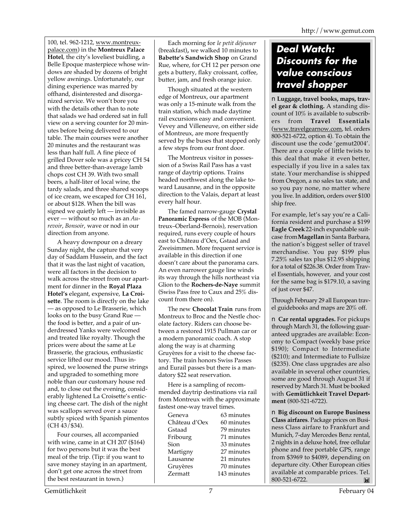100, tel. 962-1212, www.montreuxpalace.com) in the **Montreux Palace Hotel**, the city's loveliest buidling, a Belle Epoque masterpiece whose windows are shaded by dozens of bright yellow awnings. Unfortunately, our dining experience was marred by offhand, disinterested and disorganized service. We won't bore you with the details other than to note that salads we had ordered sat in full view on a serving counter for 20 minutes before being delivered to our table. The main courses were another 20 minutes and the restaurant was less than half full. A fine piece of grilled Dover sole was a pricey CH 54 and three better-than-average lamb chops cost CH 39. With two small beers, a half-liter of local wine, the tardy salads, and three shared scoops of ice cream, we escaped for CH 161, or about \$128. When the bill was signed we quietly left — invisible as ever — without so much as an *Aurevoir*, *Bonsoir*, wave or nod in our direction from anyone.

A heavy downpour on a dreary Sunday night, the capture that very day of Saddam Hussein, and the fact that it was the last night of vacation, were all factors in the decision to walk across the street from our apartment for dinner in the **Royal Plaza Hotel's** elegant, expensive, **La Croisette**. The room is directly on the lake — as opposed to Le Brasserie, which looks on to the busy Grand Rue the food is better, and a pair of underdressed Yanks were welcomed and treated like royalty. Though the prices were about the same at Le Brasserie, the gracious, enthusiastic service lifted our mood. Thus inspired, we loosened the purse strings and upgraded to something more noble than our customary house red and, to close out the evening, considerably lightened La Croisette's enticing cheese cart. The dish of the night was scallops served over a sauce subtly spiced with Spanish pimentos (CH 43/\$34).

Four courses, all accompanied with wine, came in at CH 207 (\$164) for two persons but it was the best meal of the trip. (Tip: if you want to save money staying in an apartment, don't get one across the street from the best restaurant in town.)

Each morning for *le petit déjeuner* (breakfast)**,** we walked 10 minutes to **Babette's Sandwich Shop** on Grand Rue, where, for CH 12 per person one gets a buttery, flaky croissant, coffee, butter, jam, and fresh orange juice.

Though situated at the western edge of Montreux, our apartment was only a 15-minute walk from the train station, which made daytime rail excursions easy and convenient. Vevey and Villeneuve, on either side of Montreux, are more frequently served by the buses that stopped only a few steps from our front door.

The Montreux visitor in possession of a Swiss Rail Pass has a vast range of daytrip options. Trains headed northwest along the lake toward Lausanne, and in the opposite direction to the Valais, depart at least every half hour.

The famed narrow-gauge **Crystal Panoramic Express** of the MOB (Montreux–Oberland-Bernois), reservation required, runs every couple of hours east to Château d'Oex, Gstaad and Zweisimmen. More frequent service is available in this direction if one doesn't care about the panorama cars. An even narrower gauge line winds its way through the hills northeast via Glion to the **Rochers-de-Naye** summit (Swiss Pass free to Caux and 25% discount from there on).

The new **Chocolat Train** runs from Montreux to Broc and the Nestle chocolate factory. Riders can choose between a restored 1915 Pullman car or a modern panoramic coach. A stop along the way is at charming Gruyères for a visit to the cheese factory. The train honors Swiss Passes and Eurail passes but there is a mandatory \$22 seat reservation.

Here is a sampling of recommended daytrip destinations via rail from Montreux with the approximate fastest one-way travel times.

| Geneva        | 63 minutes  |
|---------------|-------------|
| Château d'Oex | 60 minutes  |
| Gstaad        | 79 minutes  |
| Fribourg      | 71 minutes  |
| Sion          | 33 minutes  |
| Martigny      | 27 minutes  |
| Lausanne      | 21 minutes  |
| Gruyères      | 70 minutes  |
| Zermatt       | 143 minutes |
|               |             |

# *Deal Watch: Discounts for the value conscious travel shopper*

■ **Luggage, travel books, maps, travel gear & clothing.** A standing discount of 10% is available to subscribers from **Travel Essentials** (www.travelgearnow.com, tel. orders 800-521-6722, option 4). To obtain the discount use the code 'gemut2004'. There are a couple of little twists to this deal that make it even better, especially if you live in a sales tax state. Your merchandise is shipped from Oregon, a no sales tax state, and so you pay none, no matter where you live. In addition, orders over \$100 ship free.

For example, let's say you're a California resident and purchase a \$199 **Eagle Creek** 22-inch expandable suitcase from **Magellan** in Santa Barbara, the nation's biggest seller of travel merchandise. You pay \$199 plus 7.25% sales tax plus \$12.95 shipping for a total of \$226.38. Order from Travel Essentials, however, and your cost for the same bag is \$179.10, a saving of just over \$47.

Through February 29 all European travel guidebooks and maps are 20% off.

■ **Car rental upgrades.** For pickups through March 31, the following guaranteed upgrades are available: Economy to Compact (weekly base price \$190); Compact to Intermediate (\$210); and Intermediate to Fullsize (\$235). One class upgrades are also available in several other countries, some are good through August 31 if reserved by March 31. Must be booked with **Gemütlichkeit Travel Department** (800-521-6722).

■ **Big discount on Europe Business Class airfares**. Package prices on Business Class airfare to Frankfurt and Munich, 7-day Mercedes Benz rental, 2 nights in a deluxe hotel, free cellular phone and free portable GPS, range from \$3969 to \$4089, depending on departure city. Other European cities available at comparable prices. Tel. 800-521-6722. M